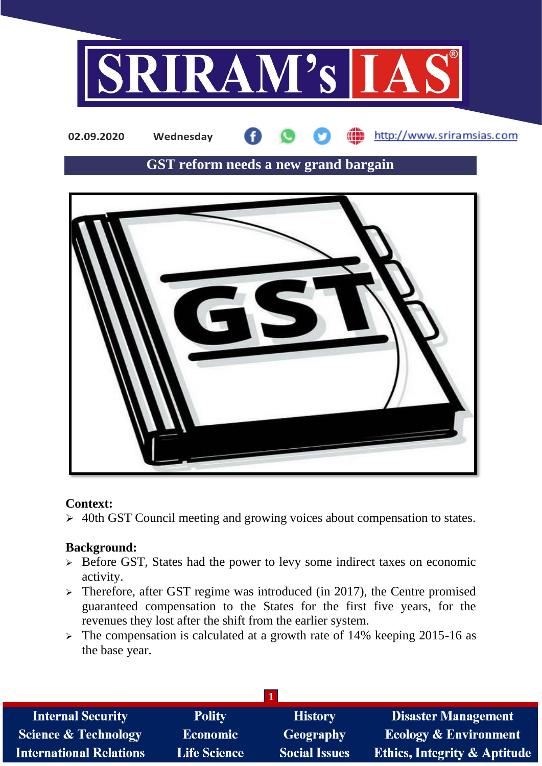

http://www.sriramsias.com **02.09.2020 Wednesday**

# **GST reform needs a new grand bargain**



#### **Context:**

➢ 40th GST Council meeting and growing voices about compensation to states.

## **Background:**

- ➢ Before GST, States had the power to levy some indirect taxes on economic activity.
- $\triangleright$  Therefore, after GST regime was introduced (in 2017), the Centre promised guaranteed compensation to the States for the first five years, for the revenues they lost after the shift from the earlier system.
- ➢ The compensation is calculated at a growth rate of 14% keeping 2015-16 as the base year.

| <b>Internal Security</b>        | <b>Polity</b>       | <b>History</b>       | <b>Disaster Management</b>              |  |  |  |
|---------------------------------|---------------------|----------------------|-----------------------------------------|--|--|--|
| <b>Science &amp; Technology</b> | <b>Economic</b>     | <b>Geography</b>     | <b>Ecology &amp; Environment</b>        |  |  |  |
| <b>International Relations</b>  | <b>Life Science</b> | <b>Social Issues</b> | <b>Ethics, Integrity &amp; Aptitude</b> |  |  |  |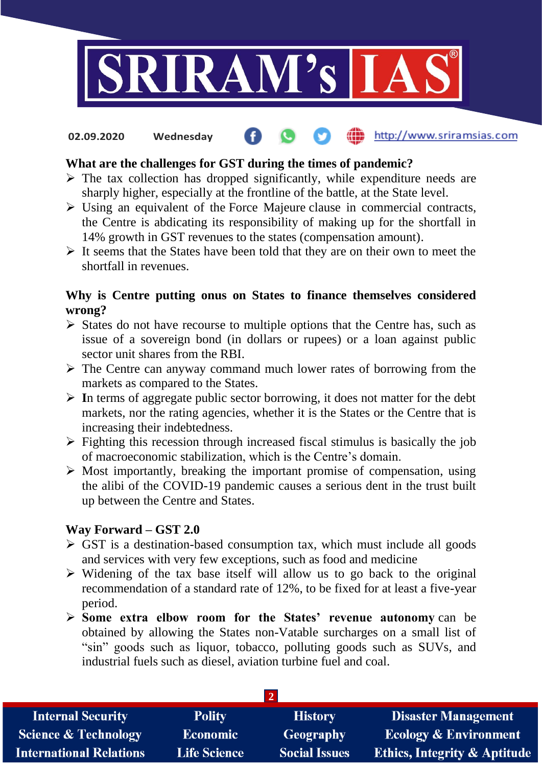

#### the http://www.sriramsias.com **02.09.2020 Wednesday**

### **What are the challenges for GST during the times of pandemic?**

- $\triangleright$  The tax collection has dropped significantly, while expenditure needs are sharply higher, especially at the frontline of the battle, at the State level.
- ➢ Using an equivalent of the Force Majeure clause in commercial contracts, the Centre is abdicating its responsibility of making up for the shortfall in 14% growth in GST revenues to the states (compensation amount).
- $\triangleright$  It seems that the States have been told that they are on their own to meet the shortfall in revenues.

#### **Why is Centre putting onus on States to finance themselves considered wrong?**

- ➢ States do not have recourse to multiple options that the Centre has, such as issue of a sovereign bond (in dollars or rupees) or a loan against public sector unit shares from the RBI.
- ➢ The Centre can anyway command much lower rates of borrowing from the markets as compared to the States.
- ➢ **I**n terms of aggregate public sector borrowing, it does not matter for the debt markets, nor the rating agencies, whether it is the States or the Centre that is increasing their indebtedness.
- $\triangleright$  Fighting this recession through increased fiscal stimulus is basically the job of macroeconomic stabilization, which is the Centre's domain.
- ➢ Most importantly, breaking the important promise of compensation, using the alibi of the COVID-19 pandemic causes a serious dent in the trust built up between the Centre and States.

#### **Way Forward – GST 2.0**

- $\triangleright$  GST is a destination-based consumption tax, which must include all goods and services with very few exceptions, such as food and medicine
- ➢ Widening of the tax base itself will allow us to go back to the original recommendation of a standard rate of 12%, to be fixed for at least a five-year period.
- ➢ **Some extra elbow room for the States' revenue autonomy** can be obtained by allowing the States non-Vatable surcharges on a small list of "sin" goods such as liquor, tobacco, polluting goods such as SUVs, and industrial fuels such as diesel, aviation turbine fuel and coal.

| <b>Internal Security</b>        | <b>Polity</b>       | <b>History</b>       | <b>Disaster Management</b>              |  |  |  |
|---------------------------------|---------------------|----------------------|-----------------------------------------|--|--|--|
| <b>Science &amp; Technology</b> | <b>Economic</b>     | Geography            | <b>Ecology &amp; Environment</b>        |  |  |  |
| <b>International Relations</b>  | <b>Life Science</b> | <b>Social Issues</b> | <b>Ethics, Integrity &amp; Aptitude</b> |  |  |  |